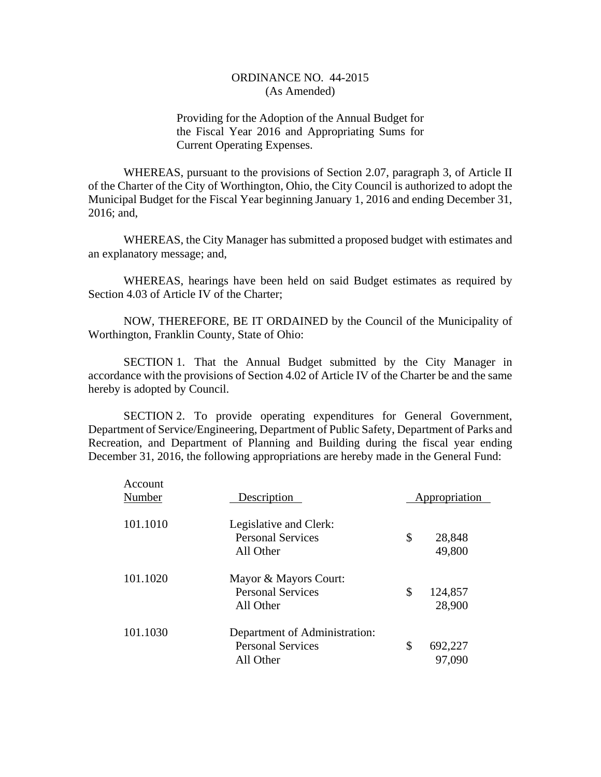Providing for the Adoption of the Annual Budget for the Fiscal Year 2016 and Appropriating Sums for Current Operating Expenses.

WHEREAS, pursuant to the provisions of Section 2.07, paragraph 3, of Article II of the Charter of the City of Worthington, Ohio, the City Council is authorized to adopt the Municipal Budget for the Fiscal Year beginning January 1, 2016 and ending December 31, 2016; and,

WHEREAS, the City Manager has submitted a proposed budget with estimates and an explanatory message; and,

WHEREAS, hearings have been held on said Budget estimates as required by Section 4.03 of Article IV of the Charter;

NOW, THEREFORE, BE IT ORDAINED by the Council of the Municipality of Worthington, Franklin County, State of Ohio:

SECTION 1. That the Annual Budget submitted by the City Manager in accordance with the provisions of Section 4.02 of Article IV of the Charter be and the same hereby is adopted by Council.

SECTION 2. To provide operating expenditures for General Government, Department of Service/Engineering, Department of Public Safety, Department of Parks and Recreation, and Department of Planning and Building during the fiscal year ending December 31, 2016, the following appropriations are hereby made in the General Fund:

| Account<br>Number | Description                                                            | Appropriation           |
|-------------------|------------------------------------------------------------------------|-------------------------|
| 101.1010          | Legislative and Clerk:<br><b>Personal Services</b><br>All Other        | \$<br>28,848<br>49,800  |
| 101.1020          | Mayor & Mayors Court:<br><b>Personal Services</b><br>All Other         | \$<br>124,857<br>28,900 |
| 101.1030          | Department of Administration:<br><b>Personal Services</b><br>All Other | \$<br>692,227<br>97,090 |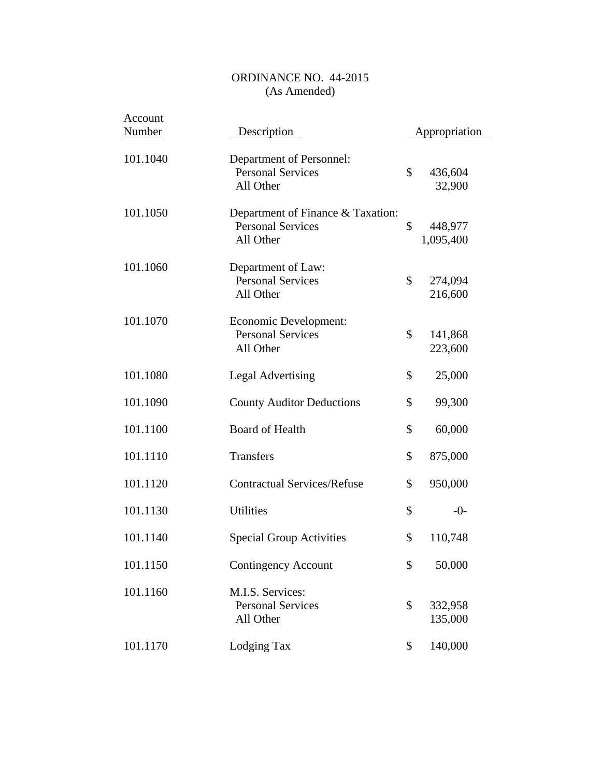| Account<br><b>Number</b> | <b>Description</b>                                                         | <b>Appropriation</b>       |
|--------------------------|----------------------------------------------------------------------------|----------------------------|
| 101.1040                 | Department of Personnel:<br><b>Personal Services</b><br>All Other          | \$<br>436,604<br>32,900    |
| 101.1050                 | Department of Finance & Taxation:<br><b>Personal Services</b><br>All Other | \$<br>448,977<br>1,095,400 |
| 101.1060                 | Department of Law:<br><b>Personal Services</b><br>All Other                | \$<br>274,094<br>216,600   |
| 101.1070                 | Economic Development:<br><b>Personal Services</b><br>All Other             | \$<br>141,868<br>223,600   |
| 101.1080                 | <b>Legal Advertising</b>                                                   | \$<br>25,000               |
| 101.1090                 | <b>County Auditor Deductions</b>                                           | \$<br>99,300               |
| 101.1100                 | <b>Board of Health</b>                                                     | \$<br>60,000               |
| 101.1110                 | <b>Transfers</b>                                                           | \$<br>875,000              |
| 101.1120                 | <b>Contractual Services/Refuse</b>                                         | \$<br>950,000              |
| 101.1130                 | <b>Utilities</b>                                                           | \$<br>$-0-$                |
| 101.1140                 | <b>Special Group Activities</b>                                            | \$<br>110,748              |
| 101.1150                 | Contingency Account                                                        | \$<br>50,000               |
| 101.1160                 | M.I.S. Services:<br><b>Personal Services</b><br>All Other                  | \$<br>332,958<br>135,000   |
| 101.1170                 | Lodging Tax                                                                | \$<br>140,000              |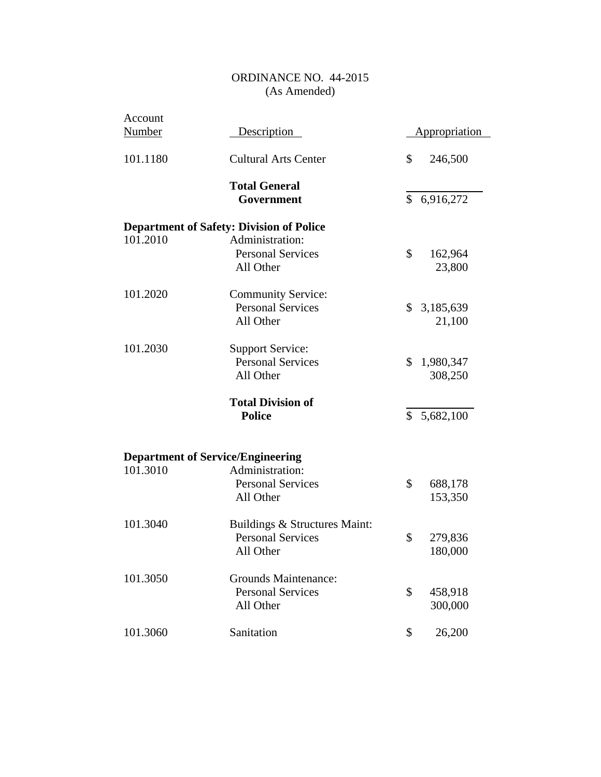| Account       |                                                 |               |                      |
|---------------|-------------------------------------------------|---------------|----------------------|
| <b>Number</b> | <b>Description</b>                              |               | <b>Appropriation</b> |
| 101.1180      | <b>Cultural Arts Center</b>                     | \$            | 246,500              |
|               | <b>Total General</b>                            |               |                      |
|               | Government                                      | $\mathcal{S}$ | 6,916,272            |
|               | <b>Department of Safety: Division of Police</b> |               |                      |
| 101.2010      | Administration:                                 |               |                      |
|               | <b>Personal Services</b>                        | \$            | 162,964              |
|               | All Other                                       |               | 23,800               |
| 101.2020      | <b>Community Service:</b>                       |               |                      |
|               | <b>Personal Services</b>                        |               | \$3,185,639          |
|               | All Other                                       |               | 21,100               |
| 101.2030      | <b>Support Service:</b>                         |               |                      |
|               | <b>Personal Services</b>                        | \$            | 1,980,347            |
|               | All Other                                       |               | 308,250              |
|               | <b>Total Division of</b>                        |               |                      |
|               | <b>Police</b>                                   | $\mathcal{S}$ | 5,682,100            |
|               |                                                 |               |                      |
|               | <b>Department of Service/Engineering</b>        |               |                      |
| 101.3010      | Administration:                                 |               |                      |
|               | <b>Personal Services</b>                        | \$            | 688,178              |
|               | All Other                                       |               | 153,350              |
| 101.3040      | Buildings & Structures Maint:                   |               |                      |
|               | <b>Personal Services</b>                        | \$            | 279,836              |
|               | All Other                                       |               | 180,000              |
| 101.3050      | <b>Grounds Maintenance:</b>                     |               |                      |
|               | <b>Personal Services</b>                        | \$            | 458,918              |
|               | All Other                                       |               | 300,000              |
| 101.3060      | Sanitation                                      | \$            | 26,200               |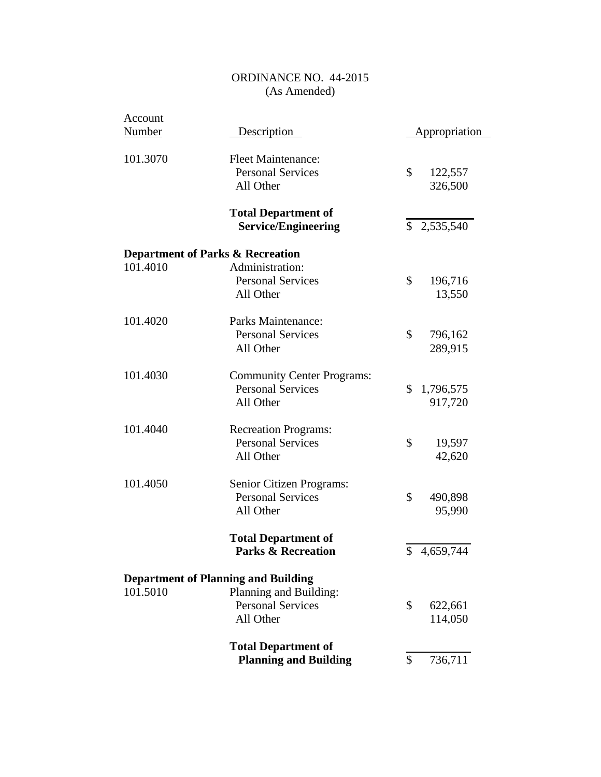| Account       |                                                                            |                                      |
|---------------|----------------------------------------------------------------------------|--------------------------------------|
| <b>Number</b> | Description                                                                | <b>Appropriation</b>                 |
| 101.3070      | <b>Fleet Maintenance:</b><br><b>Personal Services</b><br>All Other         | \$<br>122,557<br>326,500             |
|               | <b>Total Department of</b><br><b>Service/Engineering</b>                   | \$2,535,540                          |
|               | <b>Department of Parks &amp; Recreation</b>                                |                                      |
| 101.4010      | Administration:<br><b>Personal Services</b><br>All Other                   | \$<br>196,716<br>13,550              |
| 101.4020      | Parks Maintenance:<br><b>Personal Services</b><br>All Other                | \$<br>796,162<br>289,915             |
| 101.4030      | <b>Community Center Programs:</b><br><b>Personal Services</b><br>All Other | $\mathbb{S}$<br>1,796,575<br>917,720 |
| 101.4040      | <b>Recreation Programs:</b><br><b>Personal Services</b><br>All Other       | \$<br>19,597<br>42,620               |
| 101.4050      | Senior Citizen Programs:<br><b>Personal Services</b><br>All Other          | \$<br>490,898<br>95,990              |
|               | <b>Total Department of</b><br><b>Parks &amp; Recreation</b>                | \$4,659,744                          |
|               | <b>Department of Planning and Building</b>                                 |                                      |
| 101.5010      | Planning and Building:<br><b>Personal Services</b><br>All Other            | \$<br>622,661<br>114,050             |
|               | <b>Total Department of</b><br><b>Planning and Building</b>                 | \$<br>736,711                        |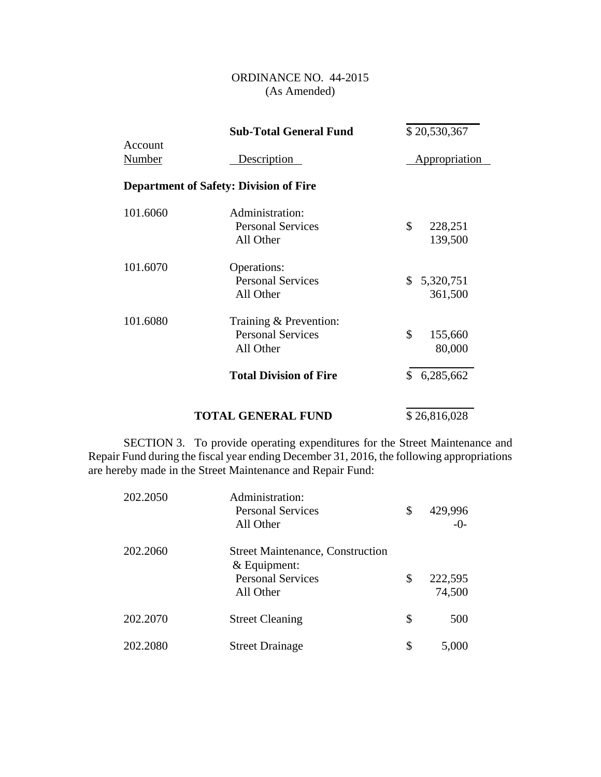|                   | <b>Sub-Total General Fund</b>                                   | \$20,530,367               |
|-------------------|-----------------------------------------------------------------|----------------------------|
| Account<br>Number | Description                                                     | Appropriation              |
|                   | <b>Department of Safety: Division of Fire</b>                   |                            |
| 101.6060          | Administration:<br><b>Personal Services</b><br>All Other        | \$<br>228,251<br>139,500   |
| 101.6070          | Operations:<br><b>Personal Services</b><br>All Other            | 5,320,751<br>\$<br>361,500 |
| 101.6080          | Training & Prevention:<br><b>Personal Services</b><br>All Other | \$<br>155,660<br>80,000    |
|                   | <b>Total Division of Fire</b>                                   | 6,285,662<br>\$            |
|                   |                                                                 |                            |

### **TOTAL GENERAL FUND**  $$26,816,028$

SECTION 3. To provide operating expenditures for the Street Maintenance and Repair Fund during the fiscal year ending December 31, 2016, the following appropriations are hereby made in the Street Maintenance and Repair Fund:

| 202.2050 | Administration:<br><b>Personal Services</b><br>All Other                                           | \$ | 429,996<br>$-0-$  |
|----------|----------------------------------------------------------------------------------------------------|----|-------------------|
| 202.2060 | <b>Street Maintenance, Construction</b><br>$&$ Equipment:<br><b>Personal Services</b><br>All Other | \$ | 222,595<br>74,500 |
| 202.2070 | <b>Street Cleaning</b>                                                                             | \$ | 500               |
| 202.2080 | <b>Street Drainage</b>                                                                             | S  | 5,000             |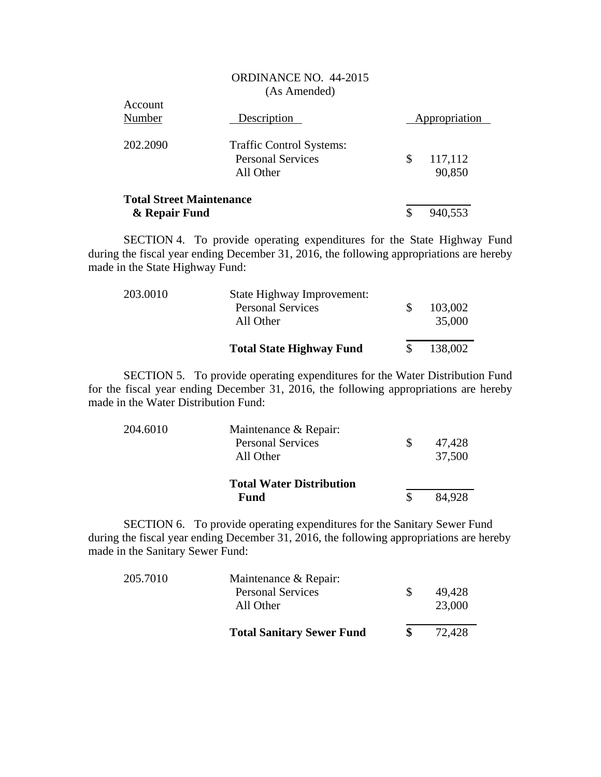|                                                  | <b>ORDINANCE NO. 44-2015</b><br>(As Amended)                      |                         |
|--------------------------------------------------|-------------------------------------------------------------------|-------------------------|
| <b>Account</b><br>Number                         | Description                                                       | Appropriation           |
| 202.2090                                         | Traffic Control Systems:<br><b>Personal Services</b><br>All Other | \$<br>117,112<br>90,850 |
| <b>Total Street Maintenance</b><br>& Repair Fund |                                                                   | \$<br>940,553           |

SECTION 4. To provide operating expenditures for the State Highway Fund during the fiscal year ending December 31, 2016, the following appropriations are hereby made in the State Highway Fund:

|          | <b>Total State Highway Fund</b>       | 138,002           |
|----------|---------------------------------------|-------------------|
|          | <b>Personal Services</b><br>All Other | 103,002<br>35,000 |
| 203.0010 | State Highway Improvement:            |                   |

SECTION 5. To provide operating expenditures for the Water Distribution Fund for the fiscal year ending December 31, 2016, the following appropriations are hereby made in the Water Distribution Fund:

| 204.6010 | Maintenance & Repair:<br><b>Personal Services</b><br>All Other | 47,428<br>37,500 |
|----------|----------------------------------------------------------------|------------------|
|          | <b>Total Water Distribution</b><br><b>Fund</b>                 | 84.928           |

SECTION 6. To provide operating expenditures for the Sanitary Sewer Fund during the fiscal year ending December 31, 2016, the following appropriations are hereby made in the Sanitary Sewer Fund:

| 205.7010 | Maintenance & Repair:            |        |
|----------|----------------------------------|--------|
|          | <b>Personal Services</b>         | 49.428 |
|          | All Other                        | 23,000 |
|          | <b>Total Sanitary Sewer Fund</b> | 72,428 |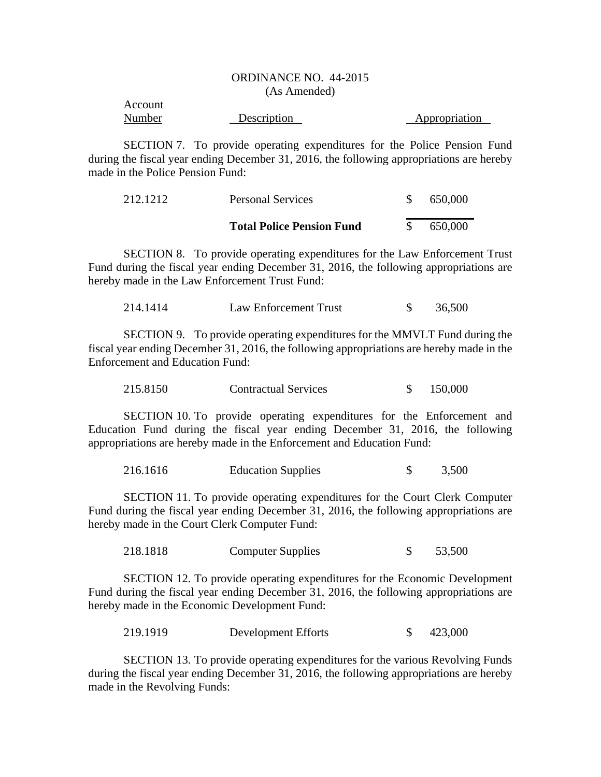| Account |             |               |
|---------|-------------|---------------|
| Number  | Description | Appropriation |

SECTION 7. To provide operating expenditures for the Police Pension Fund during the fiscal year ending December 31, 2016, the following appropriations are hereby made in the Police Pension Fund:

| 212.1212 | <b>Personal Services</b>         | 650,000 |
|----------|----------------------------------|---------|
|          | <b>Total Police Pension Fund</b> | 650,000 |

SECTION 8. To provide operating expenditures for the Law Enforcement Trust Fund during the fiscal year ending December 31, 2016, the following appropriations are hereby made in the Law Enforcement Trust Fund:

| 214.1414 | Law Enforcement Trust |  | 36,500 |
|----------|-----------------------|--|--------|
|----------|-----------------------|--|--------|

SECTION 9. To provide operating expenditures for the MMVLT Fund during the fiscal year ending December 31, 2016, the following appropriations are hereby made in the Enforcement and Education Fund:

| 215.8150 | <b>Contractual Services</b> |  | 150,000 |
|----------|-----------------------------|--|---------|
|----------|-----------------------------|--|---------|

SECTION 10. To provide operating expenditures for the Enforcement and Education Fund during the fiscal year ending December 31, 2016, the following appropriations are hereby made in the Enforcement and Education Fund:

|  | 216.1616 | <b>Education Supplies</b> |  | 3,500 |
|--|----------|---------------------------|--|-------|
|--|----------|---------------------------|--|-------|

SECTION 11. To provide operating expenditures for the Court Clerk Computer Fund during the fiscal year ending December 31, 2016, the following appropriations are hereby made in the Court Clerk Computer Fund:

218.1818 Computer Supplies \$ 53,500

SECTION 12. To provide operating expenditures for the Economic Development Fund during the fiscal year ending December 31, 2016, the following appropriations are hereby made in the Economic Development Fund:

219.1919 Development Efforts \$ 423,000

SECTION 13. To provide operating expenditures for the various Revolving Funds during the fiscal year ending December 31, 2016, the following appropriations are hereby made in the Revolving Funds: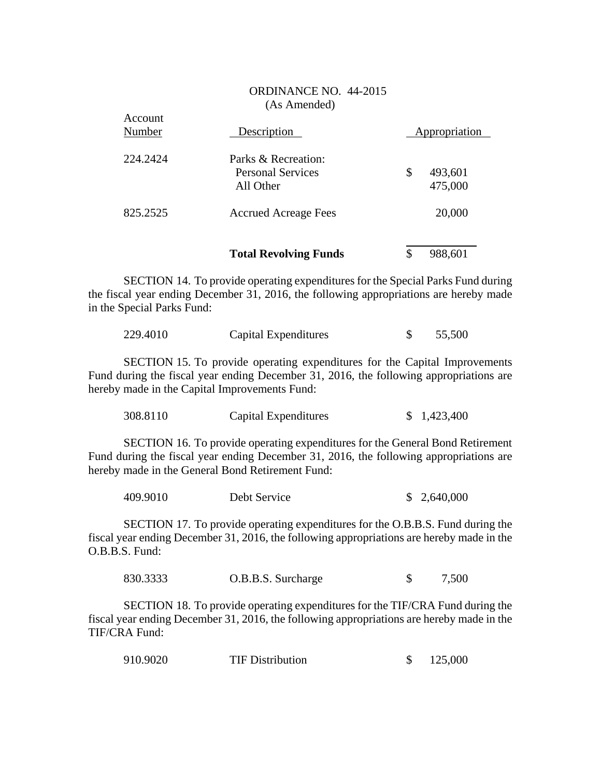$\Lambda$ 

|                   | <b>Total Revolving Funds</b>                    | 988,601<br>\$ |  |
|-------------------|-------------------------------------------------|---------------|--|
| 825.2525          | <b>Accrued Acreage Fees</b>                     | 20,000        |  |
|                   | All Other                                       | 475,000       |  |
| 224.2424          | Parks & Recreation:<br><b>Personal Services</b> | \$<br>493,601 |  |
| Account<br>Number | Description                                     | Appropriation |  |

SECTION 14. To provide operating expenditures for the Special Parks Fund during the fiscal year ending December 31, 2016, the following appropriations are hereby made in the Special Parks Fund:

| 229.4010 | Capital Expenditures | 55,500 |
|----------|----------------------|--------|
|          |                      |        |

SECTION 15. To provide operating expenditures for the Capital Improvements Fund during the fiscal year ending December 31, 2016, the following appropriations are hereby made in the Capital Improvements Fund:

| 308.8110<br>Capital Expenditures |  | \$1,423,400 |
|----------------------------------|--|-------------|
|----------------------------------|--|-------------|

SECTION 16. To provide operating expenditures for the General Bond Retirement Fund during the fiscal year ending December 31, 2016, the following appropriations are hereby made in the General Bond Retirement Fund:

| 409.9010 | Debt Service | \$2,640,000 |
|----------|--------------|-------------|
|----------|--------------|-------------|

SECTION 17. To provide operating expenditures for the O.B.B.S. Fund during the fiscal year ending December 31, 2016, the following appropriations are hereby made in the O.B.B.S. Fund:

| 830.3333 | O.B.B.S. Surcharge | 7,500 |
|----------|--------------------|-------|
|          |                    |       |

SECTION 18. To provide operating expenditures for the TIF/CRA Fund during the fiscal year ending December 31, 2016, the following appropriations are hereby made in the TIF/CRA Fund:

| 910.9020<br><b>TIF Distribution</b> |  | 125,000 |
|-------------------------------------|--|---------|
|-------------------------------------|--|---------|